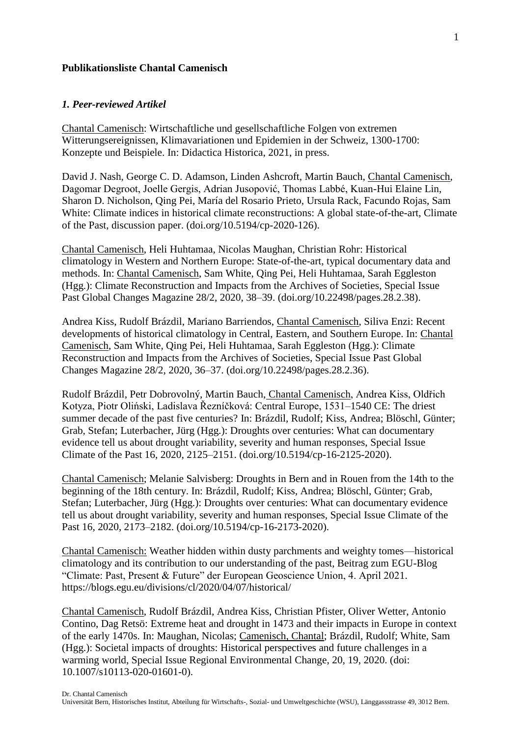# **Publikationsliste Chantal Camenisch**

#### *1. Peer-reviewed Artikel*

Chantal Camenisch: Wirtschaftliche und gesellschaftliche Folgen von extremen Witterungsereignissen, Klimavariationen und Epidemien in der Schweiz, 1300-1700: Konzepte und Beispiele. In: Didactica Historica, 2021, in press.

David J. Nash, George C. D. Adamson, Linden Ashcroft, Martin Bauch, Chantal Camenisch, Dagomar Degroot, Joelle Gergis, Adrian Jusopović, Thomas Labbé, Kuan-Hui Elaine Lin, Sharon D. Nicholson, Qing Pei, María del Rosario Prieto, Ursula Rack, Facundo Rojas, Sam White: Climate indices in historical climate reconstructions: A global state-of-the-art, Climate of the Past, discussion paper. (doi.org/10.5194/cp-2020-126).

Chantal Camenisch, Heli Huhtamaa, Nicolas Maughan, Christian Rohr: Historical climatology in Western and Northern Europe: State-of-the-art, typical documentary data and methods. In: Chantal Camenisch, Sam White, Qing Pei, Heli Huhtamaa, Sarah Eggleston (Hgg.): Climate Reconstruction and Impacts from the Archives of Societies, Special Issue Past Global Changes Magazine 28/2, 2020, 38–39. (doi.org/10.22498/pages.28.2.38).

Andrea Kiss, Rudolf Brázdil, Mariano Barriendos, Chantal Camenisch, Siliva Enzi: Recent developments of historical climatology in Central, Eastern, and Southern Europe. In: Chantal Camenisch, Sam White, Qing Pei, Heli Huhtamaa, Sarah Eggleston (Hgg.): Climate Reconstruction and Impacts from the Archives of Societies, Special Issue Past Global Changes Magazine 28/2, 2020, 36–37. (doi.org/10.22498/pages.28.2.36).

Rudolf Brázdil, Petr Dobrovolný, Martin Bauch, Chantal Camenisch, Andrea Kiss, Oldřich Kotyza, Piotr Oliński, Ladislava Řezníčková: Central Europe, 1531–1540 CE: The driest summer decade of the past five centuries? In: Brázdil, Rudolf; Kiss, Andrea; Blöschl, Günter; Grab, Stefan; Luterbacher, Jürg (Hgg.): Droughts over centuries: What can documentary evidence tell us about drought variability, severity and human responses, Special Issue Climate of the Past 16, 2020, 2125–2151. (doi.org/10.5194/cp-16-2125-2020).

Chantal Camenisch; Melanie Salvisberg: Droughts in Bern and in Rouen from the 14th to the beginning of the 18th century. In: Brázdil, Rudolf; Kiss, Andrea; Blöschl, Günter; Grab, Stefan; Luterbacher, Jürg (Hgg.): Droughts over centuries: What can documentary evidence tell us about drought variability, severity and human responses, Special Issue Climate of the Past 16, 2020, 2173–2182. (doi.org/10.5194/cp-16-2173-2020).

Chantal Camenisch: Weather hidden within dusty parchments and weighty tomes—historical climatology and its contribution to our understanding of the past, Beitrag zum EGU-Blog "Climate: Past, Present & Future" der European Geoscience Union, 4. April 2021. https://blogs.egu.eu/divisions/cl/2020/04/07/historical/

Chantal Camenisch, Rudolf Brázdil, Andrea Kiss, Christian Pfister, Oliver Wetter, Antonio Contino, Dag Retsö: Extreme heat and drought in 1473 and their impacts in Europe in context of the early 1470s. In: Maughan, Nicolas; Camenisch, Chantal; Brázdil, Rudolf; White, Sam (Hgg.): Societal impacts of droughts: Historical perspectives and future challenges in a warming world, Special Issue Regional Environmental Change, 20, 19, 2020. (doi: 10.1007/s10113-020-01601-0).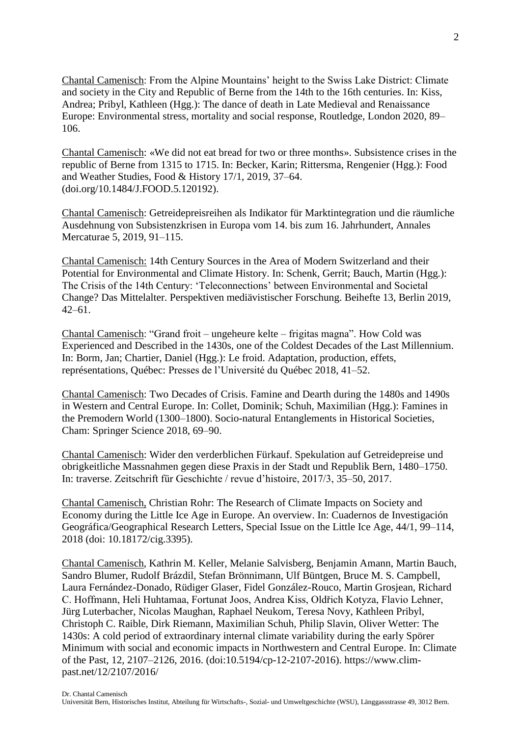Chantal Camenisch: From the Alpine Mountains' height to the Swiss Lake District: Climate and society in the City and Republic of Berne from the 14th to the 16th centuries. In: Kiss, Andrea; Pribyl, Kathleen (Hgg.): The dance of death in Late Medieval and Renaissance Europe: Environmental stress, mortality and social response, Routledge, London 2020, 89– 106.

Chantal Camenisch: «We did not eat bread for two or three months». Subsistence crises in the republic of Berne from 1315 to 1715. In: Becker, Karin; Rittersma, Rengenier (Hgg.): Food and Weather Studies, Food & History 17/1, 2019, 37–64. (doi.org/10.1484/J.FOOD.5.120192).

Chantal Camenisch: Getreidepreisreihen als Indikator für Marktintegration und die räumliche Ausdehnung von Subsistenzkrisen in Europa vom 14. bis zum 16. Jahrhundert, Annales Mercaturae 5, 2019, 91–115.

Chantal Camenisch: 14th Century Sources in the Area of Modern Switzerland and their Potential for Environmental and Climate History. In: Schenk, Gerrit; Bauch, Martin (Hgg.): The Crisis of the 14th Century: 'Teleconnections' between Environmental and Societal Change? Das Mittelalter. Perspektiven mediävistischer Forschung. Beihefte 13, Berlin 2019,  $42-61$ .

Chantal Camenisch: "Grand froit – ungeheure kelte – frigitas magna". How Cold was Experienced and Described in the 1430s, one of the Coldest Decades of the Last Millennium. In: Borm, Jan; Chartier, Daniel (Hgg.): Le froid. Adaptation, production, effets, représentations, Québec: Presses de l'Université du Québec 2018, 41–52.

Chantal Camenisch: Two Decades of Crisis. Famine and Dearth during the 1480s and 1490s in Western and Central Europe. In: Collet, Dominik; Schuh, Maximilian (Hgg.): Famines in the Premodern World (1300–1800). Socio-natural Entanglements in Historical Societies, Cham: Springer Science 2018, 69–90.

Chantal Camenisch: Wider den verderblichen Fürkauf. Spekulation auf Getreidepreise und obrigkeitliche Massnahmen gegen diese Praxis in der Stadt und Republik Bern, 1480–1750. In: traverse. Zeitschrift für Geschichte / revue d'histoire, 2017/3, 35–50, 2017.

Chantal Camenisch, Christian Rohr: The Research of Climate Impacts on Society and Economy during the Little Ice Age in Europe. An overview. In: Cuadernos de Investigación Geográfica/Geographical Research Letters, Special Issue on the Little Ice Age, 44/1, 99–114, 2018 (doi: 10.18172/cig.3395).

Chantal Camenisch, Kathrin M. Keller, Melanie Salvisberg, Benjamin Amann, Martin Bauch, Sandro Blumer, Rudolf Brázdil, Stefan Brönnimann, Ulf Büntgen, Bruce M. S. Campbell, Laura Fernández-Donado, Rüdiger Glaser, Fidel González-Rouco, Martin Grosjean, Richard C. Hoffmann, Heli Huhtamaa, Fortunat Joos, Andrea Kiss, Oldřich Kotyza, Flavio Lehner, Jürg Luterbacher, Nicolas Maughan, Raphael Neukom, Teresa Novy, Kathleen Pribyl, Christoph C. Raible, Dirk Riemann, Maximilian Schuh, Philip Slavin, Oliver Wetter: The 1430s: A cold period of extraordinary internal climate variability during the early Spörer Minimum with social and economic impacts in Northwestern and Central Europe. In: Climate of the Past, 12, 2107–2126, 2016. (doi:10.5194/cp-12-2107-2016). https://www.climpast.net/12/2107/2016/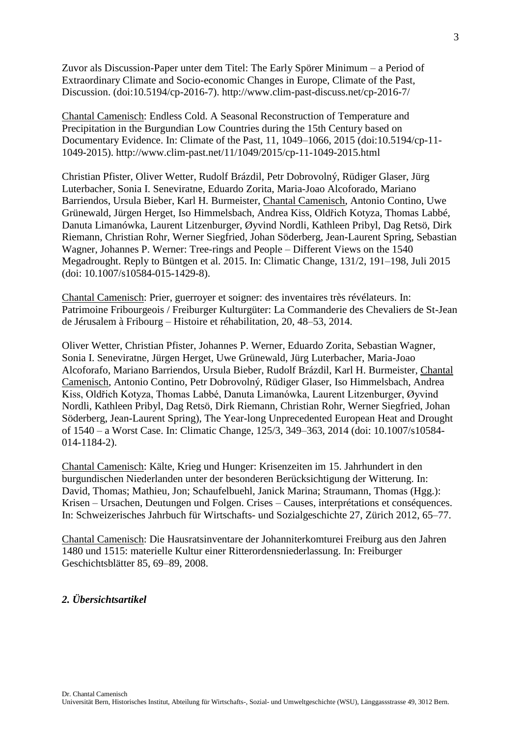Zuvor als Discussion-Paper unter dem Titel: The Early Spörer Minimum – a Period of Extraordinary Climate and Socio-economic Changes in Europe, Climate of the Past, Discussion. (doi:10.5194/cp-2016-7). http://www.clim-past-discuss.net/cp-2016-7/

Chantal Camenisch: Endless Cold. A Seasonal Reconstruction of Temperature and Precipitation in the Burgundian Low Countries during the 15th Century based on Documentary Evidence. In: Climate of the Past, 11, 1049–1066, 2015 (doi:10.5194/cp-11- 1049-2015). http://www.clim-past.net/11/1049/2015/cp-11-1049-2015.html

Christian Pfister, Oliver Wetter, Rudolf Brázdil, Petr Dobrovolný, Rüdiger Glaser, Jürg Luterbacher, Sonia I. Seneviratne, Eduardo Zorita, Maria-Joao Alcoforado, Mariano Barriendos, Ursula Bieber, Karl H. Burmeister, Chantal Camenisch, Antonio Contino, Uwe Grünewald, Jürgen Herget, Iso Himmelsbach, Andrea Kiss, Oldřich Kotyza, Thomas Labbé, Danuta Limanówka, Laurent Litzenburger, Øyvind Nordli, Kathleen Pribyl, Dag Retsö, Dirk Riemann, Christian Rohr, Werner Siegfried, Johan Söderberg, Jean-Laurent Spring, Sebastian Wagner, Johannes P. Werner: Tree-rings and People – Different Views on the 1540 Megadrought. Reply to Büntgen et al. 2015. In: Climatic Change, 131/2, 191–198, Juli 2015 (doi: 10.1007/s10584-015-1429-8).

Chantal Camenisch: Prier, guerroyer et soigner: des inventaires très révélateurs. In: Patrimoine Fribourgeois / Freiburger Kulturgüter: La Commanderie des Chevaliers de St-Jean de Jérusalem à Fribourg – Histoire et réhabilitation, 20, 48–53, 2014.

Oliver Wetter, Christian Pfister, Johannes P. Werner, Eduardo Zorita, Sebastian Wagner, Sonia I. Seneviratne, Jürgen Herget, Uwe Grünewald, Jürg Luterbacher, Maria-Joao Alcoforafo, Mariano Barriendos, Ursula Bieber, Rudolf Brázdil, Karl H. Burmeister, Chantal Camenisch, Antonio Contino, Petr Dobrovolný, Rüdiger Glaser, Iso Himmelsbach, Andrea Kiss, Oldřich Kotyza, Thomas Labbé, Danuta Limanówka, Laurent Litzenburger, Øyvind Nordli, Kathleen Pribyl, Dag Retsö, Dirk Riemann, Christian Rohr, Werner Siegfried, Johan Söderberg, Jean-Laurent Spring), The Year-long Unprecedented European Heat and Drought of 1540 – a Worst Case. In: Climatic Change, 125/3, 349–363, 2014 (doi: 10.1007/s10584- 014-1184-2).

Chantal Camenisch: Kälte, Krieg und Hunger: Krisenzeiten im 15. Jahrhundert in den burgundischen Niederlanden unter der besonderen Berücksichtigung der Witterung. In: David, Thomas; Mathieu, Jon; Schaufelbuehl, Janick Marina; Straumann, Thomas (Hgg.): Krisen – Ursachen, Deutungen und Folgen. Crises – Causes, interprétations et conséquences. In: Schweizerisches Jahrbuch für Wirtschafts- und Sozialgeschichte 27, Zürich 2012, 65–77.

Chantal Camenisch: Die Hausratsinventare der Johanniterkomturei Freiburg aus den Jahren 1480 und 1515: materielle Kultur einer Ritterordensniederlassung. In: Freiburger Geschichtsblätter 85, 69–89, 2008.

# *2. Übersichtsartikel*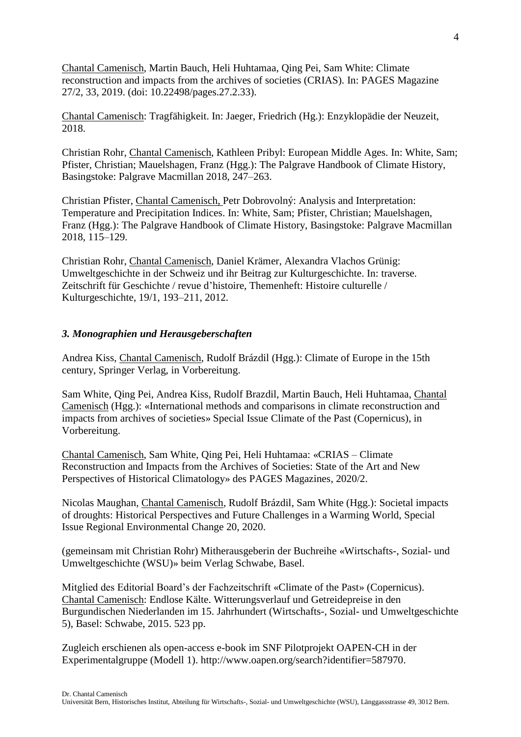Chantal Camenisch, Martin Bauch, Heli Huhtamaa, Qing Pei, Sam White: Climate reconstruction and impacts from the archives of societies (CRIAS). In: PAGES Magazine 27/2, 33, 2019. (doi: 10.22498/pages.27.2.33).

Chantal Camenisch: Tragfähigkeit. In: Jaeger, Friedrich (Hg.): Enzyklopädie der Neuzeit, 2018.

Christian Rohr, Chantal Camenisch, Kathleen Pribyl: European Middle Ages. In: White, Sam; Pfister, Christian; Mauelshagen, Franz (Hgg.): The Palgrave Handbook of Climate History, Basingstoke: Palgrave Macmillan 2018, 247–263.

Christian Pfister, Chantal Camenisch, Petr Dobrovolný: Analysis and Interpretation: Temperature and Precipitation Indices. In: White, Sam; Pfister, Christian; Mauelshagen, Franz (Hgg.): The Palgrave Handbook of Climate History, Basingstoke: Palgrave Macmillan 2018, 115–129.

Christian Rohr, Chantal Camenisch, Daniel Krämer, Alexandra Vlachos Grünig: Umweltgeschichte in der Schweiz und ihr Beitrag zur Kulturgeschichte. In: traverse. Zeitschrift für Geschichte / revue d'histoire, Themenheft: Histoire culturelle / Kulturgeschichte, 19/1, 193–211, 2012.

# *3. Monographien und Herausgeberschaften*

Andrea Kiss, Chantal Camenisch, Rudolf Brázdil (Hgg.): Climate of Europe in the 15th century, Springer Verlag, in Vorbereitung.

Sam White, Qing Pei, Andrea Kiss, Rudolf Brazdil, Martin Bauch, Heli Huhtamaa, Chantal Camenisch (Hgg.): «International methods and comparisons in climate reconstruction and impacts from archives of societies» Special Issue Climate of the Past (Copernicus), in Vorbereitung.

Chantal Camenisch, Sam White, Qing Pei, Heli Huhtamaa: «CRIAS – Climate Reconstruction and Impacts from the Archives of Societies: State of the Art and New Perspectives of Historical Climatology» des PAGES Magazines, 2020/2.

Nicolas Maughan, Chantal Camenisch, Rudolf Brázdil, Sam White (Hgg.): Societal impacts of droughts: Historical Perspectives and Future Challenges in a Warming World, Special Issue Regional Environmental Change 20, 2020.

(gemeinsam mit Christian Rohr) Mitherausgeberin der Buchreihe «Wirtschafts-, Sozial- und Umweltgeschichte (WSU)» beim Verlag Schwabe, Basel.

Mitglied des Editorial Board's der Fachzeitschrift «Climate of the Past» (Copernicus). Chantal Camenisch: Endlose Kälte. Witterungsverlauf und Getreidepreise in den Burgundischen Niederlanden im 15. Jahrhundert (Wirtschafts-, Sozial- und Umweltgeschichte 5), Basel: Schwabe, 2015. 523 pp.

Zugleich erschienen als open-access e-book im SNF Pilotprojekt OAPEN-CH in der Experimentalgruppe (Modell 1). http://www.oapen.org/search?identifier=587970.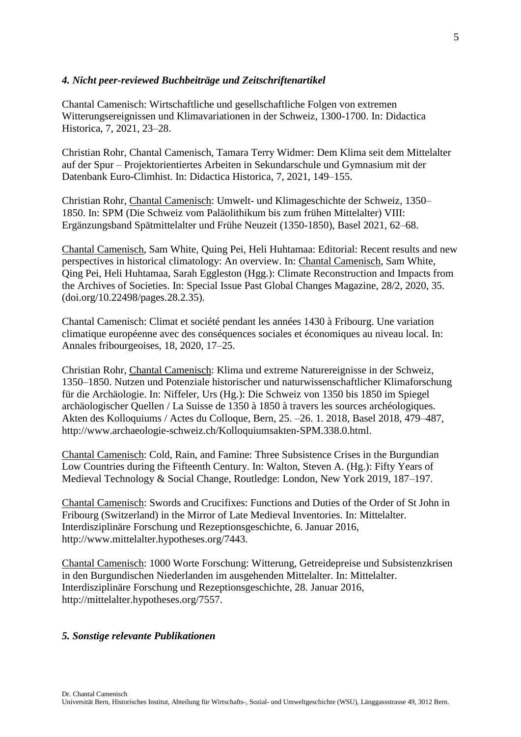### *4. Nicht peer-reviewed Buchbeiträge und Zeitschriftenartikel*

Chantal Camenisch: Wirtschaftliche und gesellschaftliche Folgen von extremen Witterungsereignissen und Klimavariationen in der Schweiz, 1300-1700. In: Didactica Historica, 7, 2021, 23–28.

Christian Rohr, Chantal Camenisch, Tamara Terry Widmer: Dem Klima seit dem Mittelalter auf der Spur – Projektorientiertes Arbeiten in Sekundarschule und Gymnasium mit der Datenbank Euro-Climhist. In: Didactica Historica, 7, 2021, 149–155.

Christian Rohr, Chantal Camenisch: Umwelt- und Klimageschichte der Schweiz, 1350– 1850. In: SPM (Die Schweiz vom Paläolithikum bis zum frühen Mittelalter) VIII: Ergänzungsband Spätmittelalter und Frühe Neuzeit (1350-1850), Basel 2021, 62–68.

Chantal Camenisch, Sam White, Quing Pei, Heli Huhtamaa: Editorial: Recent results and new perspectives in historical climatology: An overview. In: Chantal Camenisch, Sam White, Qing Pei, Heli Huhtamaa, Sarah Eggleston (Hgg.): Climate Reconstruction and Impacts from the Archives of Societies. In: Special Issue Past Global Changes Magazine, 28/2, 2020, 35. (doi.org/10.22498/pages.28.2.35).

Chantal Camenisch: Climat et société pendant les années 1430 à Fribourg. Une variation climatique européenne avec des conséquences sociales et économiques au niveau local. In: Annales fribourgeoises, 18, 2020, 17–25.

Christian Rohr, Chantal Camenisch: Klima und extreme Naturereignisse in der Schweiz, 1350–1850. Nutzen und Potenziale historischer und naturwissenschaftlicher Klimaforschung für die Archäologie. In: Niffeler, Urs (Hg.): Die Schweiz von 1350 bis 1850 im Spiegel archäologischer Quellen / La Suisse de 1350 à 1850 à travers les sources archéologiques. Akten des Kolloquiums / Actes du Colloque, Bern, 25. –26. 1. 2018, Basel 2018, 479–487, http://www.archaeologie-schweiz.ch/Kolloquiumsakten-SPM.338.0.html.

Chantal Camenisch: Cold, Rain, and Famine: Three Subsistence Crises in the Burgundian Low Countries during the Fifteenth Century. In: Walton, Steven A. (Hg.): Fifty Years of Medieval Technology & Social Change, Routledge: London, New York 2019, 187–197.

Chantal Camenisch: Swords and Crucifixes: Functions and Duties of the Order of St John in Fribourg (Switzerland) in the Mirror of Late Medieval Inventories. In: Mittelalter. Interdisziplinäre Forschung und Rezeptionsgeschichte, 6. Januar 2016, http://www.mittelalter.hypotheses.org/7443.

Chantal Camenisch: 1000 Worte Forschung: Witterung, Getreidepreise und Subsistenzkrisen in den Burgundischen Niederlanden im ausgehenden Mittelalter. In: Mittelalter. Interdisziplinäre Forschung und Rezeptionsgeschichte, 28. Januar 2016, http://mittelalter.hypotheses.org/7557.

### *5. Sonstige relevante Publikationen*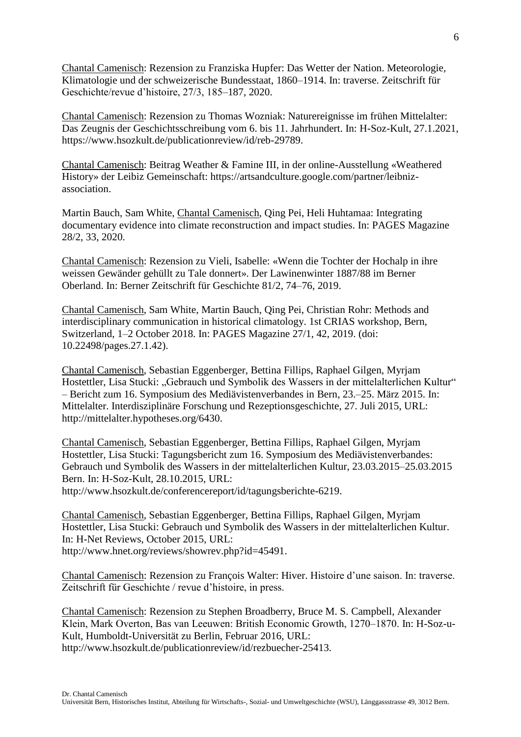Chantal Camenisch: Rezension zu Franziska Hupfer: Das Wetter der Nation. Meteorologie, Klimatologie und der schweizerische Bundesstaat, 1860–1914. In: traverse. Zeitschrift für Geschichte/revue d'histoire, 27/3, 185–187, 2020.

Chantal Camenisch: Rezension zu Thomas Wozniak: Naturereignisse im frühen Mittelalter: Das Zeugnis der Geschichtsschreibung vom 6. bis 11. Jahrhundert. In: H-Soz-Kult, 27.1.2021, https://www.hsozkult.de/publicationreview/id/reb-29789.

Chantal Camenisch: Beitrag Weather & Famine III, in der online-Ausstellung «Weathered History» der Leibiz Gemeinschaft: https://artsandculture.google.com/partner/leibnizassociation.

Martin Bauch, Sam White, Chantal Camenisch, Qing Pei, Heli Huhtamaa: Integrating documentary evidence into climate reconstruction and impact studies. In: PAGES Magazine 28/2, 33, 2020.

Chantal Camenisch: Rezension zu Vieli, Isabelle: «Wenn die Tochter der Hochalp in ihre weissen Gewänder gehüllt zu Tale donnert». Der Lawinenwinter 1887/88 im Berner Oberland. In: Berner Zeitschrift für Geschichte 81/2, 74–76, 2019.

Chantal Camenisch, Sam White, Martin Bauch, Qing Pei, Christian Rohr: Methods and interdisciplinary communication in historical climatology. 1st CRIAS workshop, Bern, Switzerland, 1–2 October 2018. In: PAGES Magazine 27/1, 42, 2019. (doi: 10.22498/pages.27.1.42).

Chantal Camenisch, Sebastian Eggenberger, Bettina Fillips, Raphael Gilgen, Myrjam Hostettler, Lisa Stucki: "Gebrauch und Symbolik des Wassers in der mittelalterlichen Kultur" – Bericht zum 16. Symposium des Mediävistenverbandes in Bern, 23.–25. März 2015. In: Mittelalter. Interdisziplinäre Forschung und Rezeptionsgeschichte, 27. Juli 2015, URL: http://mittelalter.hypotheses.org/6430.

Chantal Camenisch, Sebastian Eggenberger, Bettina Fillips, Raphael Gilgen, Myrjam Hostettler, Lisa Stucki: Tagungsbericht zum 16. Symposium des Mediävistenverbandes: Gebrauch und Symbolik des Wassers in der mittelalterlichen Kultur, 23.03.2015–25.03.2015 Bern. In: H-Soz-Kult, 28.10.2015, URL: http://www.hsozkult.de/conferencereport/id/tagungsberichte-6219.

Chantal Camenisch, Sebastian Eggenberger, Bettina Fillips, Raphael Gilgen, Myrjam Hostettler, Lisa Stucki: Gebrauch und Symbolik des Wassers in der mittelalterlichen Kultur. In: H-Net Reviews, October 2015, URL: http://www.hnet.org/reviews/showrev.php?id=45491.

Chantal Camenisch: Rezension zu François Walter: Hiver. Histoire d'une saison. In: traverse. Zeitschrift für Geschichte / revue d'histoire, in press.

Chantal Camenisch: Rezension zu Stephen Broadberry, Bruce M. S. Campbell, Alexander Klein, Mark Overton, Bas van Leeuwen: British Economic Growth, 1270–1870. In: H-Soz-u-Kult, Humboldt-Universität zu Berlin, Februar 2016, URL: http://www.hsozkult.de/publicationreview/id/rezbuecher-25413.